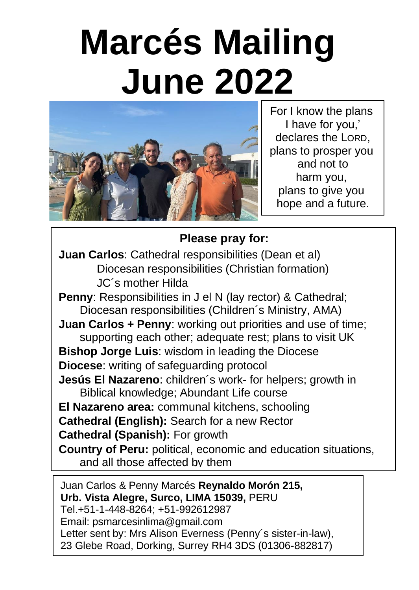## **Marcés Mailing June 2022**



For I know the plans I have for you,' declares the LORD, plans to prosper you and not to harm you, plans to give you hope and a future.

(<del>) Jeremiah 20:11)</del>

## **Please pray for:**

**Juan Carlos**: Cathedral responsibilities (Dean et al) Diocesan responsibilities (Christian formation) JC´s mother Hilda

**Penny**: Responsibilities in J el N (lay rector) & Cathedral; Diocesan responsibilities (Children´s Ministry, AMA)

**Juan Carlos + Penny**: working out priorities and use of time; supporting each other; adequate rest; plans to visit UK

**Bishop Jorge Luis**: wisdom in leading the Diocese **Diocese**: writing of safeguarding protocol

**Jesús El Nazareno**: children´s work- for helpers; growth in Biblical knowledge; Abundant Life course

**El Nazareno area:** communal kitchens, schooling

**Cathedral (English):** Search for a new Rector

**Cathedral (Spanish):** For growth

**Country of Peru:** political, economic and education situations, and all those affected by them

Juan Carlos & Penny Marcés **Reynaldo Morón 215, Urb. Vista Alegre, Surco, LIMA 15039,** PERU Tel.+51-1-448-8264; +51-992612987 Email: psmarcesinlima@gmail.com Letter sent by: Mrs Alison Everness (Penny´s sister-in-law), 23 Glebe Road, Dorking, Surrey RH4 3DS (01306-882817)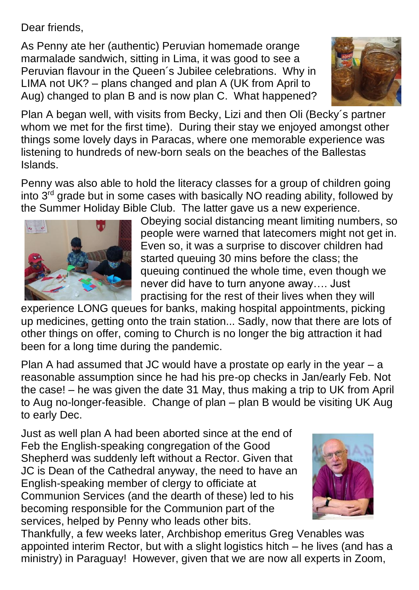Dear friends,

As Penny ate her (authentic) Peruvian homemade orange marmalade sandwich, sitting in Lima, it was good to see a Peruvian flavour in the Queen´s Jubilee celebrations. Why in LIMA not UK? – plans changed and plan A (UK from April to Aug) changed to plan B and is now plan C. What happened?



Plan A began well, with visits from Becky, Lizi and then Oli (Becky´s partner whom we met for the first time). During their stay we enjoyed amongst other things some lovely days in Paracas, where one memorable experience was listening to hundreds of new-born seals on the beaches of the Ballestas Islands.

Penny was also able to hold the literacy classes for a group of children going into  $3<sup>rd</sup>$  arade but in some cases with basically NO reading ability, followed by the Summer Holiday Bible Club. The latter gave us a new experience.



Obeying social distancing meant limiting numbers, so people were warned that latecomers might not get in. Even so, it was a surprise to discover children had started queuing 30 mins before the class; the queuing continued the whole time, even though we never did have to turn anyone away…. Just practising for the rest of their lives when they will

experience LONG queues for banks, making hospital appointments, picking up medicines, getting onto the train station... Sadly, now that there are lots of other things on offer, coming to Church is no longer the big attraction it had been for a long time during the pandemic.

Plan A had assumed that JC would have a prostate op early in the year – a reasonable assumption since he had his pre-op checks in Jan/early Feb. Not the case! – he was given the date 31 May, thus making a trip to UK from April to Aug no-longer-feasible. Change of plan – plan B would be visiting UK Aug to early Dec.

Just as well plan A had been aborted since at the end of Feb the English-speaking congregation of the Good Shepherd was suddenly left without a Rector. Given that JC is Dean of the Cathedral anyway, the need to have an English-speaking member of clergy to officiate at Communion Services (and the dearth of these) led to his becoming responsible for the Communion part of the services, helped by Penny who leads other bits.



Thankfully, a few weeks later, Archbishop emeritus Greg Venables was appointed interim Rector, but with a slight logistics hitch – he lives (and has a ministry) in Paraguay! However, given that we are now all experts in Zoom,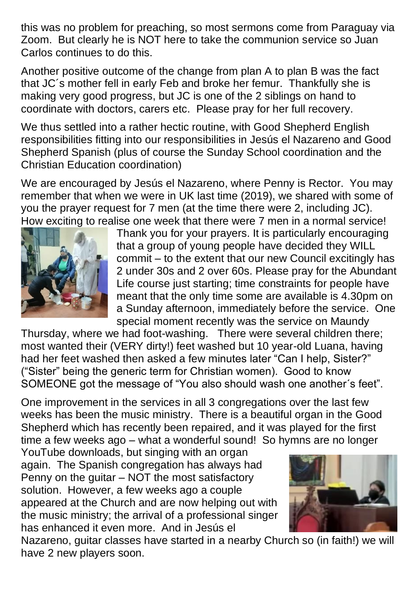this was no problem for preaching, so most sermons come from Paraguay via Zoom. But clearly he is NOT here to take the communion service so Juan Carlos continues to do this.

Another positive outcome of the change from plan A to plan B was the fact that JC´s mother fell in early Feb and broke her femur. Thankfully she is making very good progress, but JC is one of the 2 siblings on hand to coordinate with doctors, carers etc. Please pray for her full recovery.

We thus settled into a rather hectic routine, with Good Shepherd English responsibilities fitting into our responsibilities in Jesús el Nazareno and Good Shepherd Spanish (plus of course the Sunday School coordination and the Christian Education coordination)

We are encouraged by Jesús el Nazareno, where Penny is Rector. You may remember that when we were in UK last time (2019), we shared with some of you the prayer request for 7 men (at the time there were 2, including JC). How exciting to realise one week that there were 7 men in a normal service!



Thank you for your prayers. It is particularly encouraging that a group of young people have decided they WILL commit – to the extent that our new Council excitingly has 2 under 30s and 2 over 60s. Please pray for the Abundant Life course just starting; time constraints for people have meant that the only time some are available is 4.30pm on a Sunday afternoon, immediately before the service. One special moment recently was the service on Maundy

Thursday, where we had foot-washing. There were several children there; most wanted their (VERY dirty!) feet washed but 10 year-old Luana, having had her feet washed then asked a few minutes later "Can I help, Sister?" ("Sister" being the generic term for Christian women). Good to know SOMEONE got the message of "You also should wash one another´s feet".

One improvement in the services in all 3 congregations over the last few weeks has been the music ministry. There is a beautiful organ in the Good Shepherd which has recently been repaired, and it was played for the first time a few weeks ago – what a wonderful sound! So hymns are no longer

YouTube downloads, but singing with an organ again. The Spanish congregation has always had Penny on the guitar – NOT the most satisfactory solution. However, a few weeks ago a couple appeared at the Church and are now helping out with the music ministry; the arrival of a professional singer has enhanced it even more. And in Jesús el



Nazareno, guitar classes have started in a nearby Church so (in faith!) we will have 2 new players soon.